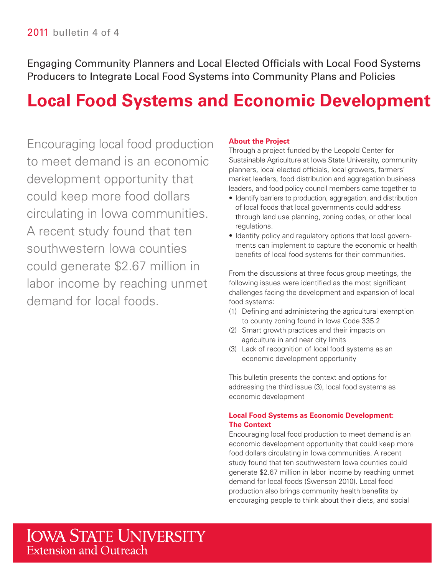Engaging Community Planners and Local Elected Officials with Local Food Systems Producers to Integrate Local Food Systems into Community Plans and Policies

# **Local Food Systems and Economic Development**

Encouraging local food production to meet demand is an economic development opportunity that could keep more food dollars circulating in Iowa communities. A recent study found that ten southwestern Iowa counties could generate \$2.67 million in labor income by reaching unmet demand for local foods.

#### **About the Project**

 Sustainable Agriculture at Iowa State University, community market leaders, food distribution and aggregation business leaders, and food policy council members came together to Through a project funded by the Leopold Center for planners, local elected officials, local growers, farmers'

- • Identify barriers to production, aggregation, and distribution of local foods that local governments could address through land use planning, zoning codes, or other local regulations.
- Identify policy and regulatory options that local governments can implement to capture the economic or health benefits of local food systems for their communities.

From the discussions at three focus group meetings, the following issues were identified as the most significant challenges facing the development and expansion of local food systems:

- (1) Defning and administering the agricultural exemption to county zoning found in Iowa Code 335.2
- (2) Smart growth practices and their impacts on agriculture in and near city limits
- (3) Lack of recognition of local food systems as an economic development opportunity

This bulletin presents the context and options for addressing the third issue (3), local food systems as economic development

#### **Local Food Systems as Economic Development: The Context**

Encouraging local food production to meet demand is an economic development opportunity that could keep more food dollars circulating in Iowa communities. A recent study found that ten southwestern Iowa counties could generate \$2.67 million in labor income by reaching unmet demand for local foods (Swenson 2010). Local food production also brings community health benefits by encouraging people to think about their diets, and social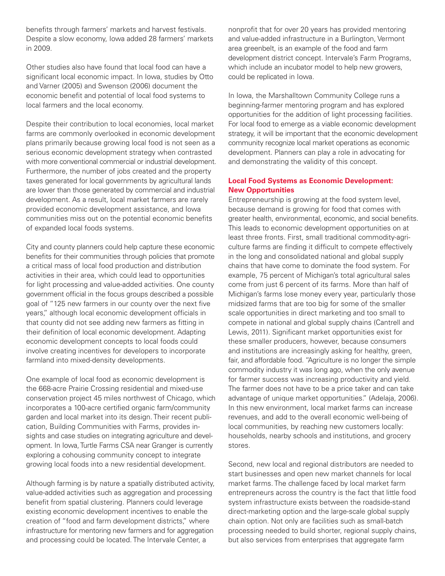benefits through farmers' markets and harvest festivals. Despite a slow economy, Iowa added 28 farmers' markets in 2009.

Other studies also have found that local food can have a significant local economic impact. In Iowa, studies by Otto and Varner (2005) and Swenson (2006) document the economic benefit and potential of local food systems to local farmers and the local economy.

 with more conventional commercial or industrial development. Furthermore, the number of jobs created and the property taxes generated for local governments by agricultural lands are lower than those generated by commercial and industrial Despite their contribution to local economies, local market farms are commonly overlooked in economic development plans primarily because growing local food is not seen as a serious economic development strategy when contrasted development. As a result, local market farmers are rarely provided economic development assistance, and Iowa communities miss out on the potential economic benefits of expanded local foods systems.

 City and county planners could help capture these economic benefits for their communities through policies that promote government official in the focus groups described a possible their defnition of local economic development. Adapting a critical mass of local food production and distribution activities in their area, which could lead to opportunities for light processing and value-added activities. One county goal of "125 new farmers in our county over the next five years," although local economic development officials in that county did not see adding new farmers as fitting in economic development concepts to local foods could involve creating incentives for developers to incorporate farmland into mixed-density developments.

 sights and case studies on integrating agriculture and devel- opment. In Iowa,Turtle Farms CSA near Granger is currently One example of local food as economic development is the 668-acre Prairie Crossing residential and mixed-use conservation project 45 miles northwest of Chicago, which incorporates a 100-acre certifed organic farm/community garden and local market into its design. Their recent publication, Building Communities with Farms, provides inexploring a cohousing community concept to integrate growing local foods into a new residential development.

 Although farming is by nature a spatially distributed activity, infrastructure for mentoring new farmers and for aggregation value-added activities such as aggregation and processing benefit from spatial clustering. Planners could leverage existing economic development incentives to enable the creation of "food and farm development districts," where and processing could be located. The Intervale Center, a

 area greenbelt, is an example of the food and farm which include an incubator model to help new growers, could be replicated in Iowa. nonprofit that for over 20 years has provided mentoring and value-added infrastructure in a Burlington, Vermont development district concept. Intervale's Farm Programs,

 For local food to emerge as a viable economic development strategy, it will be important that the economic development community recognize local market operations as economic In Iowa, the Marshalltown Community College runs a beginning-farmer mentoring program and has explored opportunities for the addition of light processing facilities. development. Planners can play a role in advocating for and demonstrating the validity of this concept.

#### **Local Food Systems as Economic Development: New Opportunities**

 greater health, environmental, economic, and social benefts. fair, and affordable food. "Agriculture is no longer the simple commodity industry it was long ago, when the only avenue Entrepreneurship is growing at the food system level, because demand is growing for food that comes with This leads to economic development opportunities on at least three fronts. First, small traditional commodity-agriculture farms are finding it difficult to compete effectively in the long and consolidated national and global supply chains that have come to dominate the food system. For example, 75 percent of Michigan's total agricultural sales come from just 6 percent of its farms. More than half of Michigan's farms lose money every year, particularly those midsized farms that are too big for some of the smaller scale opportunities in direct marketing and too small to compete in national and global supply chains (Cantrell and Lewis, 2011). Significant market opportunities exist for these smaller producers, however, because consumers and institutions are increasingly asking for healthy, green, for farmer success was increasing productivity and yield. The farmer does not have to be a price taker and can take advantage of unique market opportunities." (Adelaja, 2006). In this new environment, local market farms can increase revenues, and add to the overall economic well-being of local communities, by reaching new customers locally: households, nearby schools and institutions, and grocery stores.

Second, new local and regional distributors are needed to start businesses and open new market channels for local market farms. The challenge faced by local market farm entrepreneurs across the country is the fact that little food system infrastructure exists between the roadside-stand direct-marketing option and the large-scale global supply chain option. Not only are facilities such as small-batch processing needed to build shorter, regional supply chains, but also services from enterprises that aggregate farm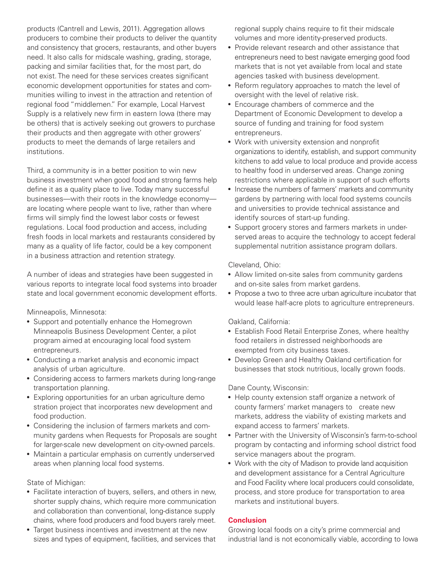and consistency that grocers, restaurants, and other buyers products (Cantrell and Lewis, 2011). Aggregation allows producers to combine their products to deliver the quantity need. It also calls for midscale washing, grading, storage, packing and similar facilities that, for the most part, do not exist. The need for these services creates significant economic development opportunities for states and communities willing to invest in the attraction and retention of regional food "middlemen." For example, Local Harvest Supply is a relatively new firm in eastern lowa (there may be others) that is actively seeking out growers to purchase their products and then aggregate with other growers' products to meet the demands of large retailers and institutions.

 business investment when good food and strong farms help Third, a community is in a better position to win new define it as a quality place to live. Today many successful businesses—with their roots in the knowledge economy are locating where people want to live, rather than where firms will simply find the lowest labor costs or fewest regulations. Local food production and access, including fresh foods in local markets and restaurants considered by many as a quality of life factor, could be a key component in a business attraction and retention strategy.

A number of ideas and strategies have been suggested in various reports to integrate local food systems into broader state and local government economic development efforts.

Minneapolis, Minnesota:

- Support and potentially enhance the Homegrown Minneapolis Business Development Center, a pilot program aimed at encouraging local food system entrepreneurs.
- Conducting a market analysis and economic impact analysis of urban agriculture.
- • Considering access to farmers markets during long-range transportation planning.
- Exploring opportunities for an urban agriculture demo stration project that incorporates new development and food production.
- Considering the inclusion of farmers markets and community gardens when Requests for Proposals are sought for larger-scale new development on city-owned parcels.
- Maintain a particular emphasis on currently underserved areas when planning local food systems.

State of Michigan:

- • Facilitate interaction of buyers, sellers, and others in new, shorter supply chains, which require more communication and collaboration than conventional, long-distance supply chains, where food producers and food buyers rarely meet.
- Target business incentives and investment at the new sizes and types of equipment, facilities, and services that

regional supply chains require to fit their midscale volumes and more identity-preserved products.

- entrepreneurs need to best navigate emerging good food • Provide relevant research and other assistance that markets that is not yet available from local and state agencies tasked with business development.
- Reform regulatory approaches to match the level of oversight with the level of relative risk.
- Encourage chambers of commerce and the Department of Economic Development to develop a source of funding and training for food system entrepreneurs.
- organizations to identify, establish, and support community • Work with university extension and nonprofit kitchens to add value to local produce and provide access to healthy food in underserved areas. Change zoning restrictions where applicable in support of such efforts
- • Increase the numbers of farmers' markets and community gardens by partnering with local food systems councils and universities to provide technical assistance and identify sources of start-up funding.
- Support grocery stores and farmers markets in underserved areas to acquire the technology to accept federal supplemental nutrition assistance program dollars.

Cleveland, Ohio:

- Allow limited on-site sales from community gardens and on-site sales from market gardens.
- • Propose a two to three acre urban agriculture incubator that would lease half-acre plots to agriculture entrepreneurs.

Oakland, California:

- Establish Food Retail Enterprise Zones, where healthy food retailers in distressed neighborhoods are exempted from city business taxes.
- Develop Green and Healthy Oakland certification for businesses that stock nutritious, locally grown foods.

Dane County, Wisconsin:

- Help county extension staff organize a network of county farmers' market managers to create new markets, address the viability of existing markets and expand access to farmers' markets.
- Partner with the University of Wisconsin's farm-to-school program by contacting and informing school district food service managers about the program.
- • Work with the city of Madison to provide land acquisition and development assistance for a Central Agriculture and Food Facility where local producers could consolidate, process, and store produce for transportation to area markets and institutional buyers.

#### **Conclusion**

Growing local foods on a city's prime commercial and industrial land is not economically viable, according to Iowa